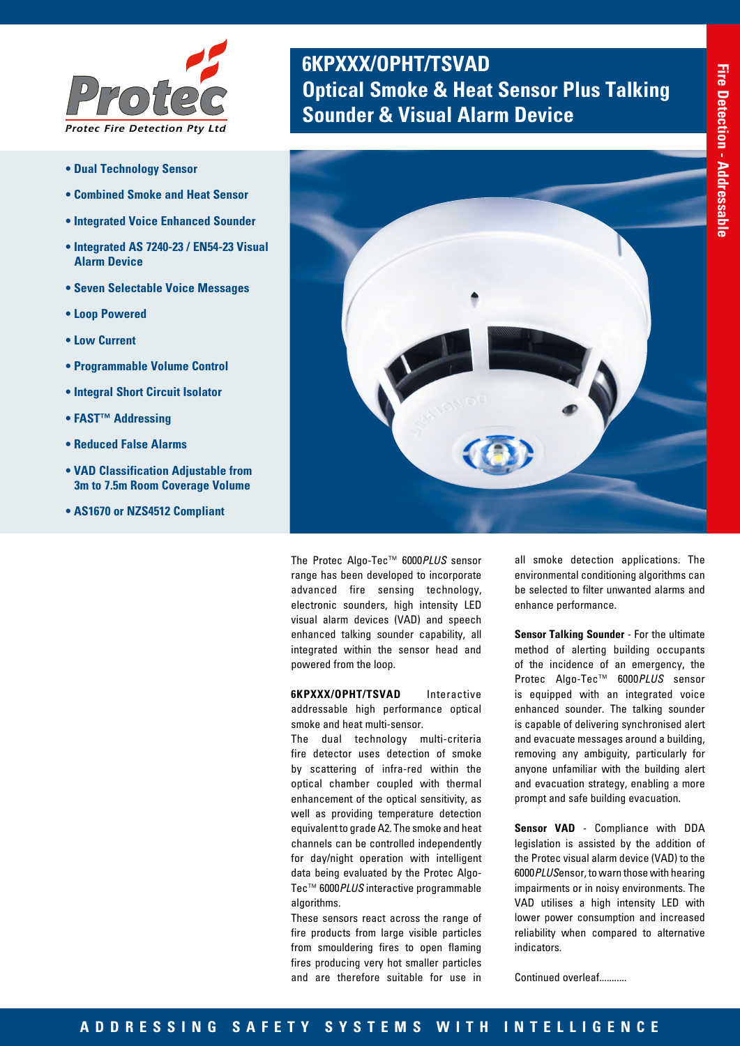

- **Dual Technology Sensor**
- **Combined Smoke and Heat Sensor**
- **Integrated Voice Enhanced Sounder**
- **Integrated AS 7240-23 / EN54-23 Visual Alarm Device**
- **Seven Selectable Voice Messages**
- **Loop Powered**
- **Low Current**
- **Programmable Volume Control**
- **Integral Short Circuit Isolator**
- **FAST™ Addressing**
- **Reduced False Alarms**
- **VAD Classification Adjustable from 3m to 7.5m Room Coverage Volume**
- **AS1670 or NZS4512 Compliant**

# **6KPXXX/OPHT/TSVAD Optical Smoke & Heat Sensor Plus Talking <br><b>Protect & Visual Alarm Device**



The Protec Algo-Tec™ 6000*PLUS* sensor range has been developed to incorporate advanced fire sensing technology, electronic sounders, high intensity LED visual alarm devices (VAD) and speech enhanced talking sounder capability, all integrated within the sensor head and powered from the loop.

**6KPXXX/OPHT/TSVAD** Interactive addressable high performance optical smoke and heat multi-sensor.

The dual technology multi-criteria fire detector uses detection of smoke by scattering of infra-red within the optical chamber coupled with thermal enhancement of the optical sensitivity, as well as providing temperature detection equivalent to grade A2. The smoke and heat channels can be controlled independently for day/night operation with intelligent data being evaluated by the Protec Algo-Tec™ 6000*PLUS* interactive programmable algorithms.

These sensors react across the range of fire products from large visible particles from smouldering fires to open flaming fires producing very hot smaller particles and are therefore suitable for use in

all smoke detection applications. The environmental conditioning algorithms can be selected to filter unwanted alarms and enhance performance.

**Sensor Talking Sounder** - For the ultimate method of alerting building occupants of the incidence of an emergency, the Protec Algo-Tec™ 6000*PLUS* sensor is equipped with an integrated voice enhanced sounder. The talking sounder is capable of delivering synchronised alert and evacuate messages around a building, removing any ambiguity, particularly for anyone unfamiliar with the building alert and evacuation strategy, enabling a more prompt and safe building evacuation.

**Sensor VAD** - Compliance with DDA legislation is assisted by the addition of the Protec visual alarm device (VAD) to the 6000*PLUS*ensor, to warn those with hearing impairments or in noisy environments. The VAD utilises a high intensity LED with lower power consumption and increased reliability when compared to alternative indicators.

Continued overleaf...........